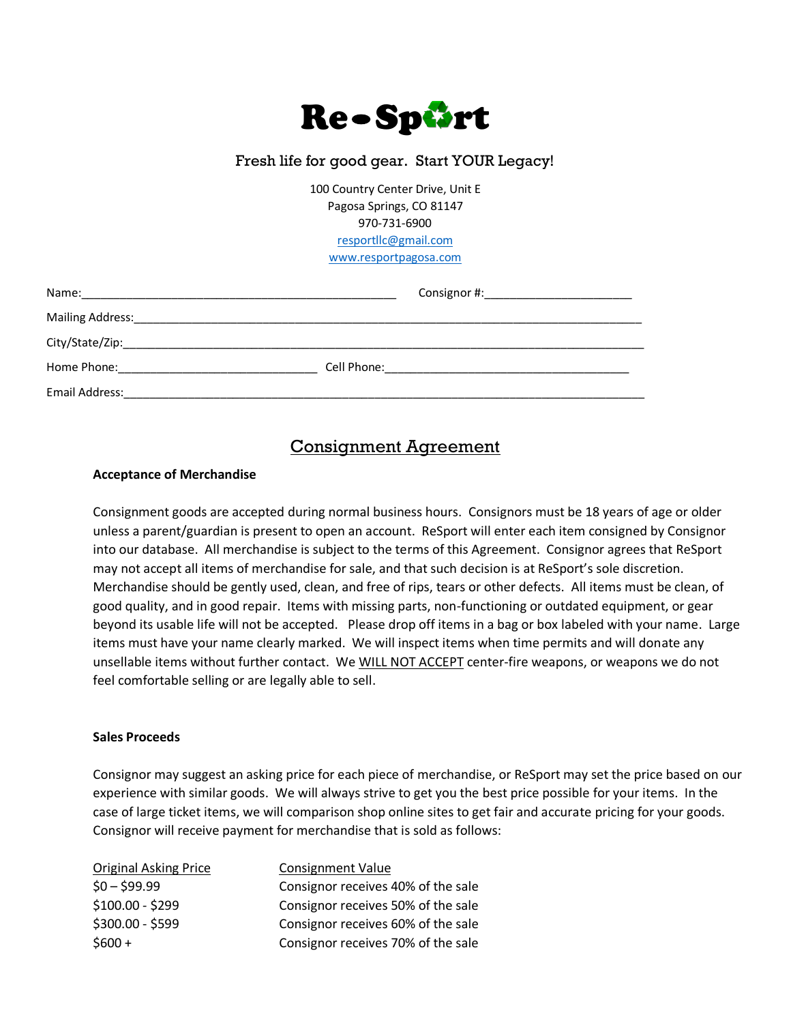

## Fresh life for good gear. Start YOUR Legacy!

100 Country Center Drive, Unit E Pagosa Springs, CO 81147 970-731-6900 [resportllc@gmail.com](mailto:resportllc@gmail.com)

[www.resportpagosa.com](http://www.resportpagosa.com/)

| Name:<br><u> 1980 - John Stoff, deutscher Stoff, der Stoff, der Stoff, der Stoff, der Stoff, der Stoff, der Stoff, der Sto</u> | Consignor #: ____________________________ |
|--------------------------------------------------------------------------------------------------------------------------------|-------------------------------------------|
| <b>Mailing Address:</b>                                                                                                        |                                           |
| City/State/Zip:                                                                                                                |                                           |
| Home Phone:                                                                                                                    |                                           |
| Email Address:                                                                                                                 |                                           |

# Consignment Agreement

#### **Acceptance of Merchandise**

Consignment goods are accepted during normal business hours. Consignors must be 18 years of age or older unless a parent/guardian is present to open an account. ReSport will enter each item consigned by Consignor into our database. All merchandise is subject to the terms of this Agreement. Consignor agrees that ReSport may not accept all items of merchandise for sale, and that such decision is at ReSport's sole discretion. Merchandise should be gently used, clean, and free of rips, tears or other defects. All items must be clean, of good quality, and in good repair. Items with missing parts, non-functioning or outdated equipment, or gear beyond its usable life will not be accepted. Please drop off items in a bag or box labeled with your name. Large items must have your name clearly marked. We will inspect items when time permits and will donate any unsellable items without further contact. We WILL NOT ACCEPT center-fire weapons, or weapons we do not feel comfortable selling or are legally able to sell.

#### **Sales Proceeds**

Consignor may suggest an asking price for each piece of merchandise, or ReSport may set the price based on our experience with similar goods. We will always strive to get you the best price possible for your items. In the case of large ticket items, we will comparison shop online sites to get fair and accurate pricing for your goods. Consignor will receive payment for merchandise that is sold as follows:

| <b>Consignment Value</b>           |
|------------------------------------|
| Consignor receives 40% of the sale |
| Consignor receives 50% of the sale |
| Consignor receives 60% of the sale |
| Consignor receives 70% of the sale |
|                                    |